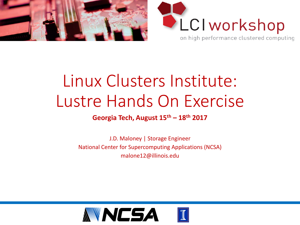



## Linux Clusters Institute: Lustre Hands On Exercise

#### **Georgia Tech, August 15th – 18th 2017**

J.D. Maloney | Storage Engineer National Center for Supercomputing Applications (NCSA) malone12@illinois.edu

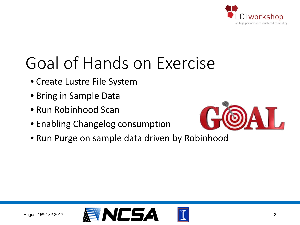

# Goal of Hands on Exercise

- Create Lustre File System
- Bring in Sample Data
- Run Robinhood Scan
- Enabling Changelog consumption



• Run Purge on sample data driven by Robinhood

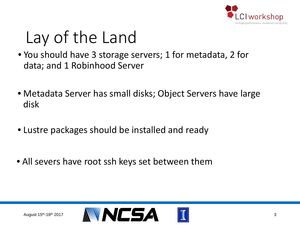

# Lay of the Land

- You should have 3 storage servers; 1 for metadata, 2 for data; and 1 Robinhood Server
- Metadata Server has small disks; Object Servers have large disk
- Lustre packages should be installed and ready
- All severs have root ssh keys set between them

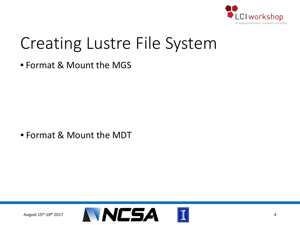

#### Creating Lustre File System

• Format & Mount the MGS

• Format & Mount the MDT

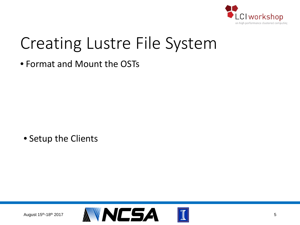

#### Creating Lustre File System

• Format and Mount the OSTs

• Setup the Clients

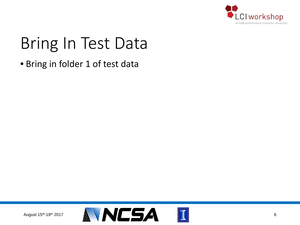

# Bring In Test Data

• Bring in folder 1 of test data

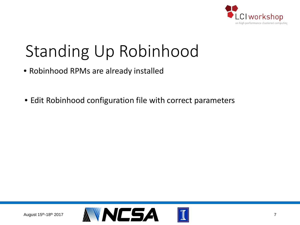

## Standing Up Robinhood

- Robinhood RPMs are already installed
- Edit Robinhood configuration file with correct parameters

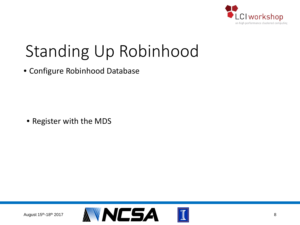

#### Standing Up Robinhood

• Configure Robinhood Database

• Register with the MDS

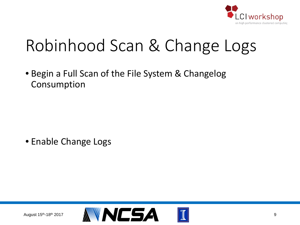

# Robinhood Scan & Change Logs

• Begin a Full Scan of the File System & Changelog Consumption

• Enable Change Logs

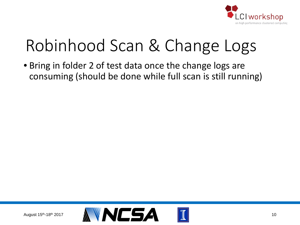

# Robinhood Scan & Change Logs

• Bring in folder 2 of test data once the change logs are consuming (should be done while full scan is still running)

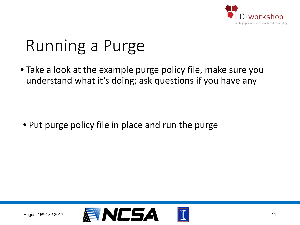

## Running a Purge

• Take a look at the example purge policy file, make sure you understand what it's doing; ask questions if you have any

• Put purge policy file in place and run the purge

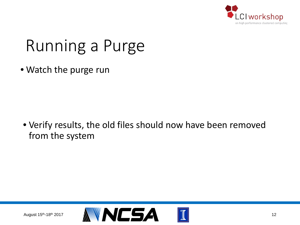

# Running a Purge

• Watch the purge run

• Verify results, the old files should now have been removed from the system